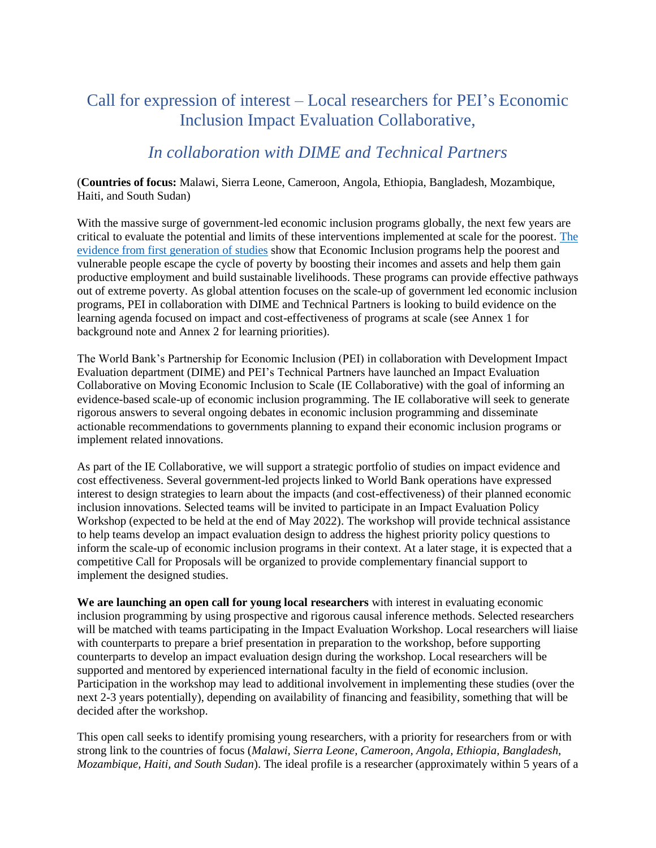## Call for expression of interest – Local researchers for PEI's Economic Inclusion Impact Evaluation Collaborative,

### *In collaboration with DIME and Technical Partners*

#### (**Countries of focus:** Malawi, Sierra Leone, Cameroon, Angola, Ethiopia, Bangladesh, Mozambique, Haiti, and South Sudan)

With the massive surge of government-led economic inclusion programs globally, the next few years are critical to evaluate the potential and limits of these interventions implemented at scale for the poorest. [The](https://www.science.org/doi/10.1126/science.1260799)  [evidence from first generation of studies](https://www.science.org/doi/10.1126/science.1260799) show that Economic Inclusion programs help the poorest and vulnerable people escape the cycle of poverty by boosting their incomes and assets and help them gain productive employment and build sustainable livelihoods. These programs can provide effective pathways out of extreme poverty. As global attention focuses on the scale-up of government led economic inclusion programs, PEI in collaboration with DIME and Technical Partners is looking to build evidence on the learning agenda focused on impact and cost-effectiveness of programs at scale (see Annex 1 for background note and Annex 2 for learning priorities).

The World Bank's Partnership for Economic Inclusion (PEI) in collaboration with Development Impact Evaluation department (DIME) and PEI's Technical Partners have launched an Impact Evaluation Collaborative on Moving Economic Inclusion to Scale (IE Collaborative) with the goal of informing an evidence-based scale-up of economic inclusion programming. The IE collaborative will seek to generate rigorous answers to several ongoing debates in economic inclusion programming and disseminate actionable recommendations to governments planning to expand their economic inclusion programs or implement related innovations.

As part of the IE Collaborative, we will support a strategic portfolio of studies on impact evidence and cost effectiveness. Several government-led projects linked to World Bank operations have expressed interest to design strategies to learn about the impacts (and cost-effectiveness) of their planned economic inclusion innovations. Selected teams will be invited to participate in an Impact Evaluation Policy Workshop (expected to be held at the end of May 2022). The workshop will provide technical assistance to help teams develop an impact evaluation design to address the highest priority policy questions to inform the scale-up of economic inclusion programs in their context. At a later stage, it is expected that a competitive Call for Proposals will be organized to provide complementary financial support to implement the designed studies.

**We are launching an open call for young local researchers** with interest in evaluating economic inclusion programming by using prospective and rigorous causal inference methods. Selected researchers will be matched with teams participating in the Impact Evaluation Workshop. Local researchers will liaise with counterparts to prepare a brief presentation in preparation to the workshop, before supporting counterparts to develop an impact evaluation design during the workshop. Local researchers will be supported and mentored by experienced international faculty in the field of economic inclusion. Participation in the workshop may lead to additional involvement in implementing these studies (over the next 2-3 years potentially), depending on availability of financing and feasibility, something that will be decided after the workshop.

This open call seeks to identify promising young researchers, with a priority for researchers from or with strong link to the countries of focus (*Malawi, Sierra Leone, Cameroon, Angola, Ethiopia, Bangladesh, Mozambique, Haiti, and South Sudan*). The ideal profile is a researcher (approximately within 5 years of a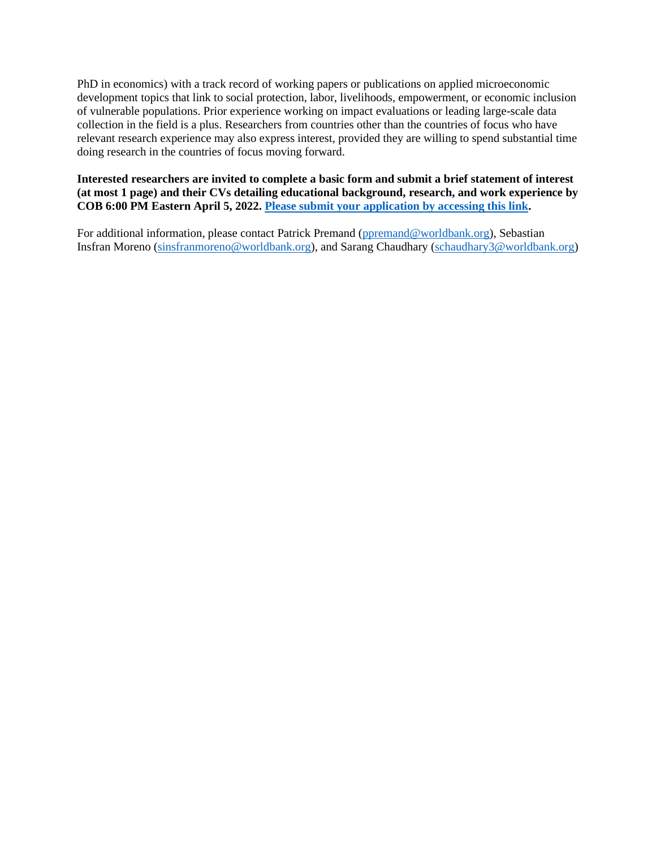PhD in economics) with a track record of working papers or publications on applied microeconomic development topics that link to social protection, labor, livelihoods, empowerment, or economic inclusion of vulnerable populations. Prior experience working on impact evaluations or leading large-scale data collection in the field is a plus. Researchers from countries other than the countries of focus who have relevant research experience may also express interest, provided they are willing to spend substantial time doing research in the countries of focus moving forward.

#### **Interested researchers are invited to complete a basic form and submit a brief statement of interest (at most 1 page) and their CVs detailing educational background, research, and work experience by COB 6:00 PM Eastern April 5, 2022. [Please submit your application by accessing this link.](https://survey.wb.surveycto.com/collect/pei_researchers_application?caseid=)**

For additional information, please contact Patrick Premand [\(ppremand@worldbank.org\)](mailto:ppremand@worldbank.org), Sebastian Insfran Moreno [\(sinsfranmoreno@worldbank.org\)](mailto:sinsfranmoreno@worldbank.org), and Sarang Chaudhary [\(schaudhary3@worldbank.org\)](mailto:schaudhary3@worldbank.org)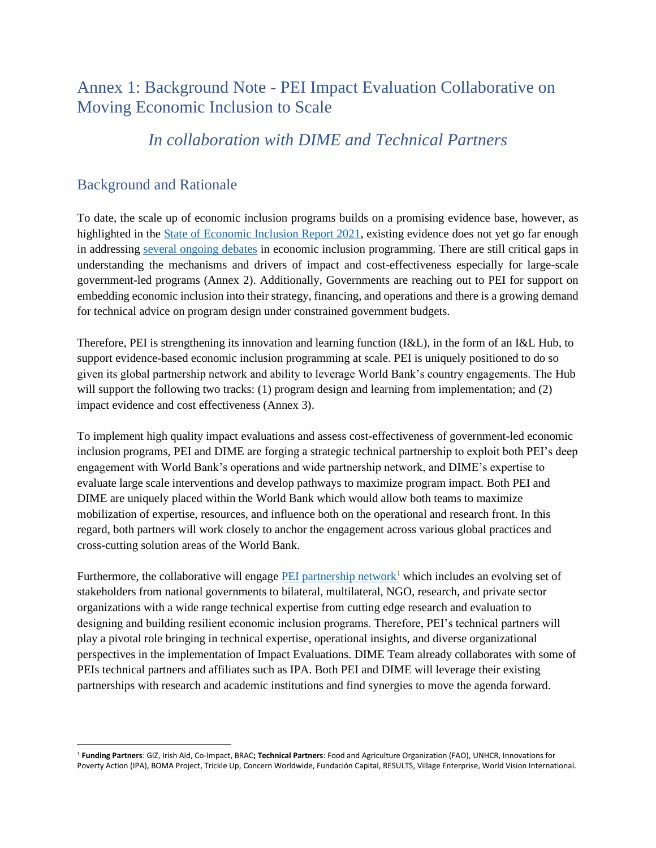# Annex 1: Background Note - PEI Impact Evaluation Collaborative on Moving Economic Inclusion to Scale

### *In collaboration with DIME and Technical Partners*

#### Background and Rationale

To date, the scale up of economic inclusion programs builds on a promising evidence base, however, as highlighted in the [State of Economic Inclusion Report 2021,](https://openknowledge.worldbank.org/handle/10986/34917) existing evidence does not yet go far enough in addressing [several ongoing debates](https://blogs.worldbank.org/voices/are-economic-inclusion-programs-pathway-out-poverty) in economic inclusion programming. There are still critical gaps in understanding the mechanisms and drivers of impact and cost-effectiveness especially for large-scale government-led programs (Annex 2). Additionally, Governments are reaching out to PEI for support on embedding economic inclusion into their strategy, financing, and operations and there is a growing demand for technical advice on program design under constrained government budgets.

Therefore, PEI is strengthening its innovation and learning function (I&L), in the form of an I&L Hub, to support evidence-based economic inclusion programming at scale. PEI is uniquely positioned to do so given its global partnership network and ability to leverage World Bank's country engagements. The Hub will support the following two tracks: (1) program design and learning from implementation; and (2) impact evidence and cost effectiveness (Annex 3).

To implement high quality impact evaluations and assess cost-effectiveness of government-led economic inclusion programs, PEI and DIME are forging a strategic technical partnership to exploit both PEI's deep engagement with World Bank's operations and wide partnership network, and DIME's expertise to evaluate large scale interventions and develop pathways to maximize program impact. Both PEI and DIME are uniquely placed within the World Bank which would allow both teams to maximize mobilization of expertise, resources, and influence both on the operational and research front. In this regard, both partners will work closely to anchor the engagement across various global practices and cross-cutting solution areas of the World Bank.

Furthermore, the collaborative will engage [PEI partnership network](https://www.peiglobal.org/who-we-are)<sup>1</sup> which includes an evolving set of stakeholders from national governments to bilateral, multilateral, NGO, research, and private sector organizations with a wide range technical expertise from cutting edge research and evaluation to designing and building resilient economic inclusion programs. Therefore, PEI's technical partners will play a pivotal role bringing in technical expertise, operational insights, and diverse organizational perspectives in the implementation of Impact Evaluations. DIME Team already collaborates with some of PEIs technical partners and affiliates such as IPA. Both PEI and DIME will leverage their existing partnerships with research and academic institutions and find synergies to move the agenda forward.

<sup>1</sup> **Funding Partners**: GIZ, Irish Aid, Co-Impact, BRAC**; Technical Partners**: Food and Agriculture Organization (FAO), UNHCR, Innovations for Poverty Action (IPA), BOMA Project, Trickle Up, Concern Worldwide, Fundación Capital, RESULTS, Village Enterprise, World Vision International.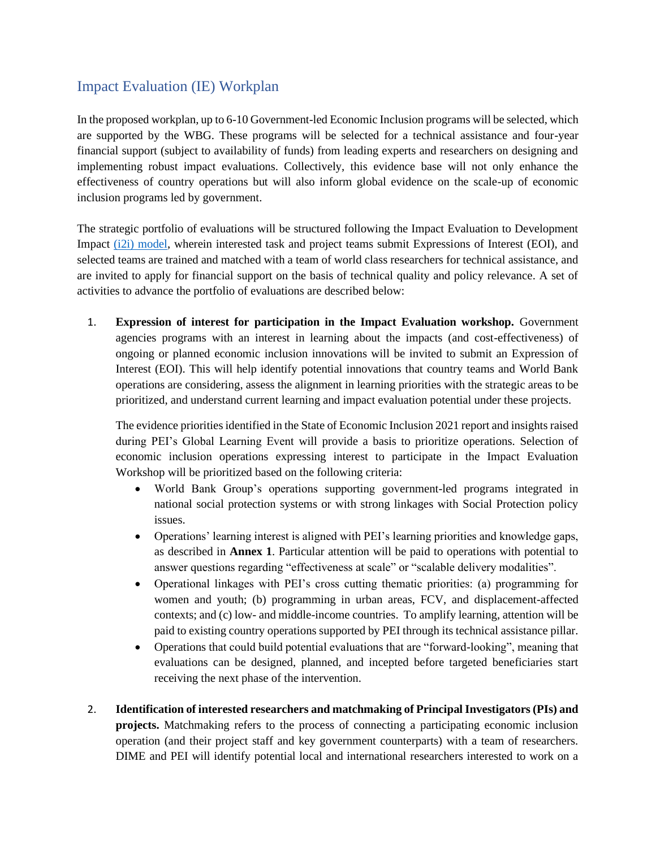### Impact Evaluation (IE) Workplan

In the proposed workplan, up to 6-10 Government-led Economic Inclusion programs will be selected, which are supported by the WBG. These programs will be selected for a technical assistance and four-year financial support (subject to availability of funds) from leading experts and researchers on designing and implementing robust impact evaluations. Collectively, this evidence base will not only enhance the effectiveness of country operations but will also inform global evidence on the scale-up of economic inclusion programs led by government.

The strategic portfolio of evaluations will be structured following the Impact Evaluation to Development Impact [\(i2i\) model,](https://www.worldbank.org/en/research/dime/brief/i2i-fund) wherein interested task and project teams submit Expressions of Interest (EOI), and selected teams are trained and matched with a team of world class researchers for technical assistance, and are invited to apply for financial support on the basis of technical quality and policy relevance. A set of activities to advance the portfolio of evaluations are described below:

1. **Expression of interest for participation in the Impact Evaluation workshop.** Government agencies programs with an interest in learning about the impacts (and cost-effectiveness) of ongoing or planned economic inclusion innovations will be invited to submit an Expression of Interest (EOI). This will help identify potential innovations that country teams and World Bank operations are considering, assess the alignment in learning priorities with the strategic areas to be prioritized, and understand current learning and impact evaluation potential under these projects.

The evidence priorities identified in the State of Economic Inclusion 2021 report and insights raised during PEI's Global Learning Event will provide a basis to prioritize operations. Selection of economic inclusion operations expressing interest to participate in the Impact Evaluation Workshop will be prioritized based on the following criteria:

- World Bank Group's operations supporting government-led programs integrated in national social protection systems or with strong linkages with Social Protection policy issues.
- Operations' learning interest is aligned with PEI's learning priorities and knowledge gaps, as described in **Annex 1**. Particular attention will be paid to operations with potential to answer questions regarding "effectiveness at scale" or "scalable delivery modalities".
- Operational linkages with PEI's cross cutting thematic priorities: (a) programming for women and youth; (b) programming in urban areas, FCV, and displacement-affected contexts; and (c) low- and middle-income countries. To amplify learning, attention will be paid to existing country operations supported by PEI through its technical assistance pillar.
- Operations that could build potential evaluations that are "forward-looking", meaning that evaluations can be designed, planned, and incepted before targeted beneficiaries start receiving the next phase of the intervention.
- 2. **Identification of interested researchers and matchmaking of Principal Investigators (PIs) and projects.** Matchmaking refers to the process of connecting a participating economic inclusion operation (and their project staff and key government counterparts) with a team of researchers. DIME and PEI will identify potential local and international researchers interested to work on a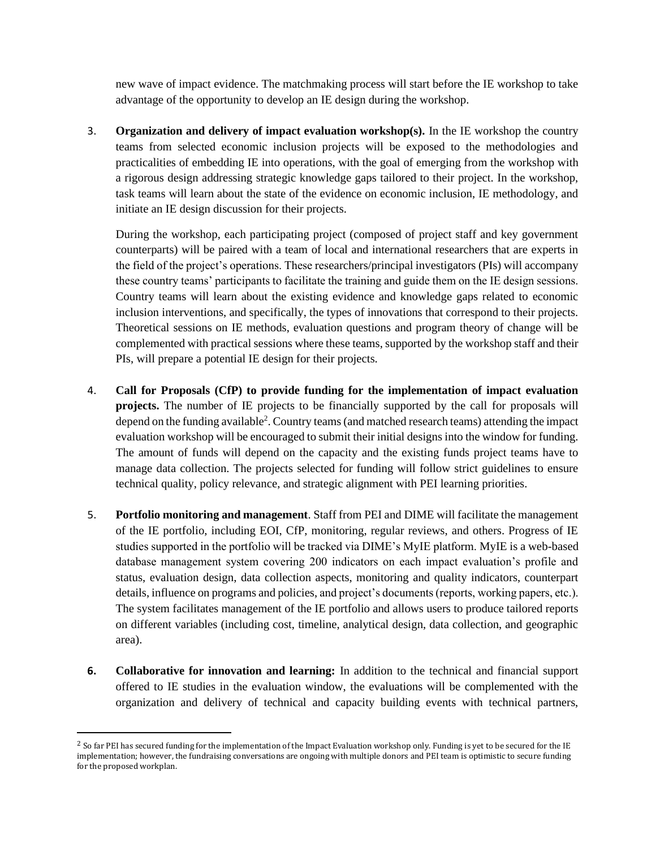new wave of impact evidence. The matchmaking process will start before the IE workshop to take advantage of the opportunity to develop an IE design during the workshop.

3. **Organization and delivery of impact evaluation workshop(s).** In the IE workshop the country teams from selected economic inclusion projects will be exposed to the methodologies and practicalities of embedding IE into operations, with the goal of emerging from the workshop with a rigorous design addressing strategic knowledge gaps tailored to their project. In the workshop, task teams will learn about the state of the evidence on economic inclusion, IE methodology, and initiate an IE design discussion for their projects.

During the workshop, each participating project (composed of project staff and key government counterparts) will be paired with a team of local and international researchers that are experts in the field of the project's operations. These researchers/principal investigators (PIs) will accompany these country teams' participants to facilitate the training and guide them on the IE design sessions. Country teams will learn about the existing evidence and knowledge gaps related to economic inclusion interventions, and specifically, the types of innovations that correspond to their projects. Theoretical sessions on IE methods, evaluation questions and program theory of change will be complemented with practical sessions where these teams, supported by the workshop staff and their PIs, will prepare a potential IE design for their projects.

- 4. **Call for Proposals (CfP) to provide funding for the implementation of impact evaluation projects.** The number of IE projects to be financially supported by the call for proposals will depend on the funding available<sup>2</sup>. Country teams (and matched research teams) attending the impact evaluation workshop will be encouraged to submit their initial designs into the window for funding. The amount of funds will depend on the capacity and the existing funds project teams have to manage data collection. The projects selected for funding will follow strict guidelines to ensure technical quality, policy relevance, and strategic alignment with PEI learning priorities.
- 5. **Portfolio monitoring and management**. Staff from PEI and DIME will facilitate the management of the IE portfolio, including EOI, CfP, monitoring, regular reviews, and others. Progress of IE studies supported in the portfolio will be tracked via DIME's MyIE platform. MyIE is a web-based database management system covering 200 indicators on each impact evaluation's profile and status, evaluation design, data collection aspects, monitoring and quality indicators, counterpart details, influence on programs and policies, and project's documents (reports, working papers, etc.). The system facilitates management of the IE portfolio and allows users to produce tailored reports on different variables (including cost, timeline, analytical design, data collection, and geographic area).
- **6. Collaborative for innovation and learning:** In addition to the technical and financial support offered to IE studies in the evaluation window, the evaluations will be complemented with the organization and delivery of technical and capacity building events with technical partners,

<sup>&</sup>lt;sup>2</sup> So far PEI has secured funding for the implementation of the Impact Evaluation workshop only. Funding is yet to be secured for the IE implementation; however, the fundraising conversations are ongoing with multiple donors and PEI team is optimistic to secure funding for the proposed workplan.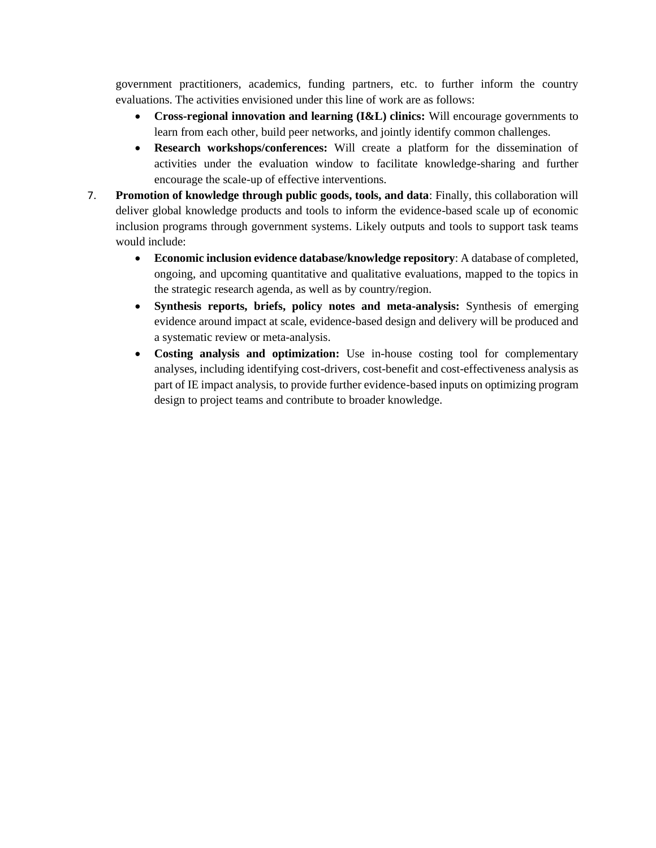government practitioners, academics, funding partners, etc. to further inform the country evaluations. The activities envisioned under this line of work are as follows:

- **Cross-regional innovation and learning (I&L) clinics:** Will encourage governments to learn from each other, build peer networks, and jointly identify common challenges.
- **Research workshops/conferences:** Will create a platform for the dissemination of activities under the evaluation window to facilitate knowledge-sharing and further encourage the scale-up of effective interventions.
- 7. **Promotion of knowledge through public goods, tools, and data**: Finally, this collaboration will deliver global knowledge products and tools to inform the evidence-based scale up of economic inclusion programs through government systems. Likely outputs and tools to support task teams would include:
	- **Economic inclusion evidence database/knowledge repository**: A database of completed, ongoing, and upcoming quantitative and qualitative evaluations, mapped to the topics in the strategic research agenda, as well as by country/region.
	- **Synthesis reports, briefs, policy notes and meta-analysis:** Synthesis of emerging evidence around impact at scale, evidence-based design and delivery will be produced and a systematic review or meta-analysis.
	- **Costing analysis and optimization:** Use in-house costing tool for complementary analyses, including identifying cost-drivers, cost-benefit and cost-effectiveness analysis as part of IE impact analysis, to provide further evidence-based inputs on optimizing program design to project teams and contribute to broader knowledge.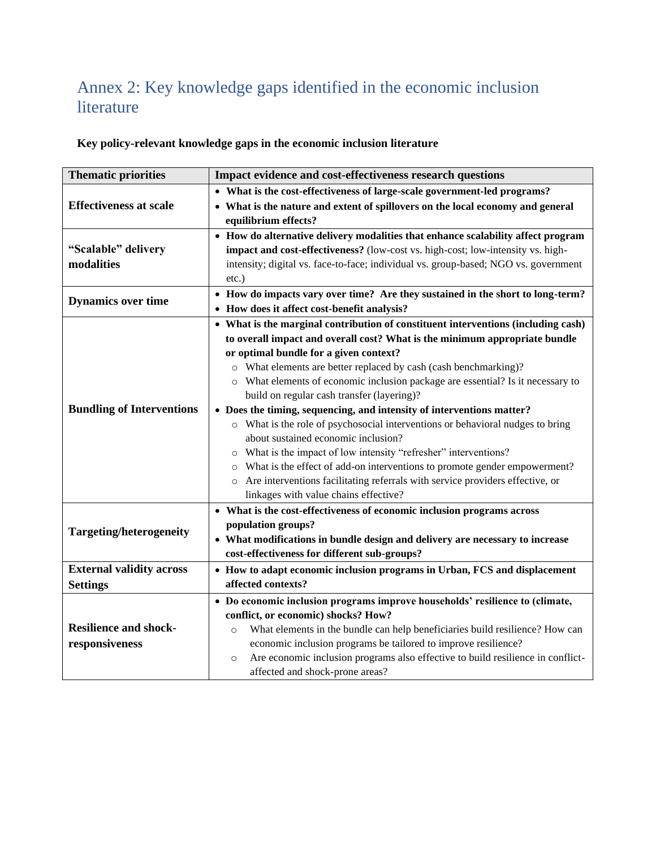# Annex 2: Key knowledge gaps identified in the economic inclusion literature

|  | Key policy-relevant knowledge gaps in the economic inclusion literature |
|--|-------------------------------------------------------------------------|
|--|-------------------------------------------------------------------------|

| <b>Thematic priorities</b>       | <b>Impact evidence and cost-effectiveness research questions</b>                           |  |
|----------------------------------|--------------------------------------------------------------------------------------------|--|
|                                  | • What is the cost-effectiveness of large-scale government-led programs?                   |  |
| <b>Effectiveness at scale</b>    | • What is the nature and extent of spillovers on the local economy and general             |  |
|                                  | equilibrium effects?                                                                       |  |
|                                  | • How do alternative delivery modalities that enhance scalability affect program           |  |
| "Scalable" delivery              | impact and cost-effectiveness? (low-cost vs. high-cost; low-intensity vs. high-            |  |
| modalities                       | intensity; digital vs. face-to-face; individual vs. group-based; NGO vs. government        |  |
|                                  | $etc.$ )                                                                                   |  |
| <b>Dynamics over time</b>        | • How do impacts vary over time? Are they sustained in the short to long-term?             |  |
|                                  | How does it affect cost-benefit analysis?                                                  |  |
|                                  | • What is the marginal contribution of constituent interventions (including cash)          |  |
|                                  | to overall impact and overall cost? What is the minimum appropriate bundle                 |  |
|                                  | or optimal bundle for a given context?                                                     |  |
|                                  | o What elements are better replaced by cash (cash benchmarking)?                           |  |
|                                  | o What elements of economic inclusion package are essential? Is it necessary to            |  |
|                                  | build on regular cash transfer (layering)?                                                 |  |
| <b>Bundling of Interventions</b> | • Does the timing, sequencing, and intensity of interventions matter?                      |  |
|                                  | o What is the role of psychosocial interventions or behavioral nudges to bring             |  |
|                                  | about sustained economic inclusion?                                                        |  |
|                                  | What is the impact of low intensity "refresher" interventions?<br>$\circ$                  |  |
|                                  | What is the effect of add-on interventions to promote gender empowerment?<br>$\circ$       |  |
|                                  | o Are interventions facilitating referrals with service providers effective, or            |  |
|                                  | linkages with value chains effective?                                                      |  |
|                                  | • What is the cost-effectiveness of economic inclusion programs across                     |  |
| <b>Targeting/heterogeneity</b>   | population groups?                                                                         |  |
|                                  | • What modifications in bundle design and delivery are necessary to increase               |  |
|                                  | cost-effectiveness for different sub-groups?                                               |  |
| <b>External validity across</b>  | • How to adapt economic inclusion programs in Urban, FCS and displacement                  |  |
| <b>Settings</b>                  | affected contexts?                                                                         |  |
|                                  | • Do economic inclusion programs improve households' resilience to (climate,               |  |
|                                  | conflict, or economic) shocks? How?                                                        |  |
| <b>Resilience and shock-</b>     | What elements in the bundle can help beneficiaries build resilience? How can<br>$\circ$    |  |
| responsiveness                   | economic inclusion programs be tailored to improve resilience?                             |  |
|                                  | Are economic inclusion programs also effective to build resilience in conflict-<br>$\circ$ |  |
|                                  | affected and shock-prone areas?                                                            |  |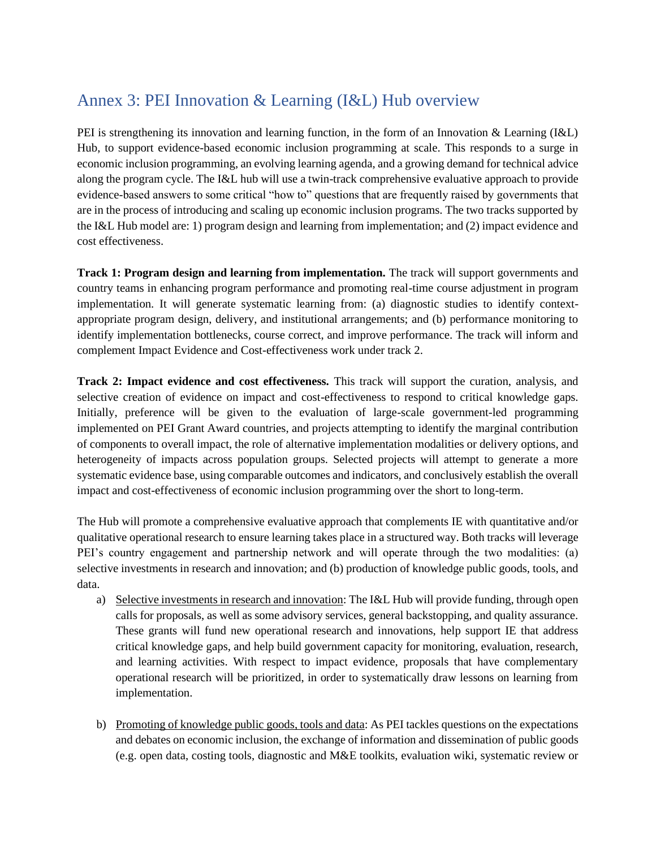# Annex 3: PEI Innovation & Learning (I&L) Hub overview

PEI is strengthening its innovation and learning function, in the form of an Innovation & Learning (I&L) Hub, to support evidence-based economic inclusion programming at scale. This responds to a surge in economic inclusion programming, an evolving learning agenda, and a growing demand for technical advice along the program cycle. The I&L hub will use a twin-track comprehensive evaluative approach to provide evidence-based answers to some critical "how to" questions that are frequently raised by governments that are in the process of introducing and scaling up economic inclusion programs. The two tracks supported by the I&L Hub model are: 1) program design and learning from implementation; and (2) impact evidence and cost effectiveness.

**Track 1: Program design and learning from implementation.** The track will support governments and country teams in enhancing program performance and promoting real-time course adjustment in program implementation. It will generate systematic learning from: (a) diagnostic studies to identify contextappropriate program design, delivery, and institutional arrangements; and (b) performance monitoring to identify implementation bottlenecks, course correct, and improve performance. The track will inform and complement Impact Evidence and Cost-effectiveness work under track 2.

**Track 2: Impact evidence and cost effectiveness.** This track will support the curation, analysis, and selective creation of evidence on impact and cost-effectiveness to respond to critical knowledge gaps. Initially, preference will be given to the evaluation of large-scale government-led programming implemented on PEI Grant Award countries, and projects attempting to identify the marginal contribution of components to overall impact, the role of alternative implementation modalities or delivery options, and heterogeneity of impacts across population groups. Selected projects will attempt to generate a more systematic evidence base, using comparable outcomes and indicators, and conclusively establish the overall impact and cost-effectiveness of economic inclusion programming over the short to long-term.

The Hub will promote a comprehensive evaluative approach that complements IE with quantitative and/or qualitative operational research to ensure learning takes place in a structured way. Both tracks will leverage PEI's country engagement and partnership network and will operate through the two modalities: (a) selective investments in research and innovation; and (b) production of knowledge public goods, tools, and data.

- a) Selective investments in research and innovation: The I&L Hub will provide funding, through open calls for proposals, as well as some advisory services, general backstopping, and quality assurance. These grants will fund new operational research and innovations, help support IE that address critical knowledge gaps, and help build government capacity for monitoring, evaluation, research, and learning activities. With respect to impact evidence, proposals that have complementary operational research will be prioritized, in order to systematically draw lessons on learning from implementation.
- b) Promoting of knowledge public goods, tools and data: As PEI tackles questions on the expectations and debates on economic inclusion, the exchange of information and dissemination of public goods (e.g. open data, costing tools, diagnostic and M&E toolkits, evaluation wiki, systematic review or